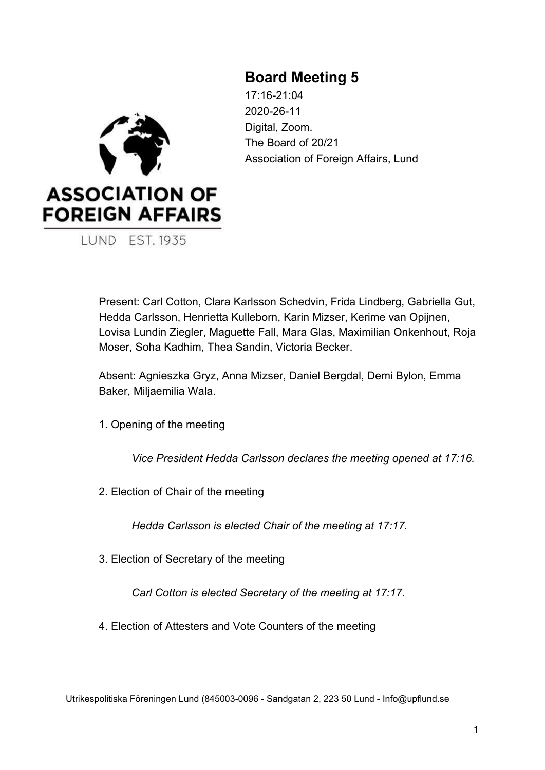# **Board Meeting 5**

**ASSOCIATION OF FOREIGN AFFAIRS LUND EST. 1935** 

17:16-21:04 2020-26-11 Digital, Zoom. The Board of 20/21 Association of Foreign Affairs, Lund

Present: Carl Cotton, Clara Karlsson Schedvin, Frida Lindberg, Gabriella Gut, Hedda Carlsson, Henrietta Kulleborn, Karin Mizser, Kerime van Opijnen, Lovisa Lundin Ziegler, Maguette Fall, Mara Glas, Maximilian Onkenhout, Roja Moser, Soha Kadhim, Thea Sandin, Victoria Becker.

Absent: Agnieszka Gryz, Anna Mizser, Daniel Bergdal, Demi Bylon, Emma Baker, Miljaemilia Wala.

1. Opening of the meeting

*Vice President Hedda Carlsson declares the meeting opened at 17:16.*

2. Election of Chair of the meeting

*Hedda Carlsson is elected Chair of the meeting at 17:17.*

3. Election of Secretary of the meeting

*Carl Cotton is elected Secretary of the meeting at 17:17.*

4. Election of Attesters and Vote Counters of the meeting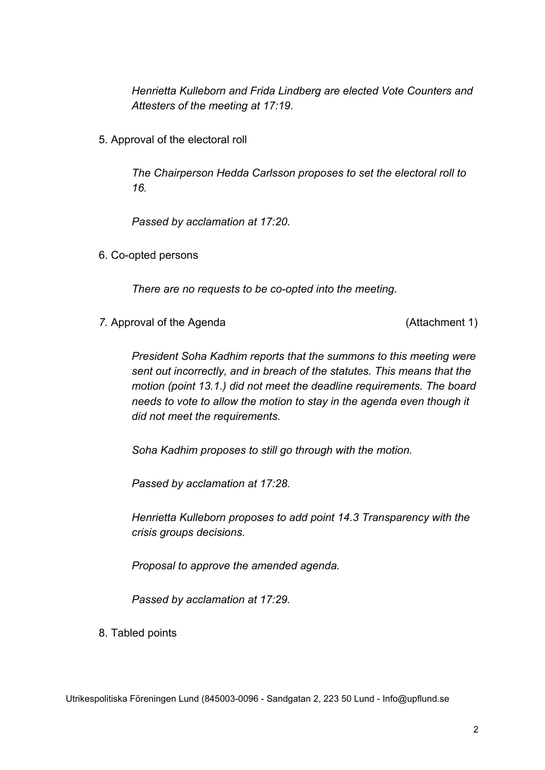*Henrietta Kulleborn and Frida Lindberg are elected Vote Counters and Attesters of the meeting at 17:19.*

5. Approval of the electoral roll

*The Chairperson Hedda Carlsson proposes to set the electoral roll to 16.*

*Passed by acclamation at 17:20.*

6. Co-opted persons

*There are no requests to be co-opted into the meeting.*

7. Approval of the Agenda (Attachment 1)

*President Soha Kadhim reports that the summons to this meeting were sent out incorrectly, and in breach of the statutes. This means that the motion (point 13.1.) did not meet the deadline requirements. The board needs to vote to allow the motion to stay in the agenda even though it did not meet the requirements.*

*Soha Kadhim proposes to still go through with the motion.*

*Passed by acclamation at 17:28.*

*Henrietta Kulleborn proposes to add point 14.3 Transparency with the crisis groups decisions.*

*Proposal to approve the amended agenda.*

*Passed by acclamation at 17:29.*

8. Tabled points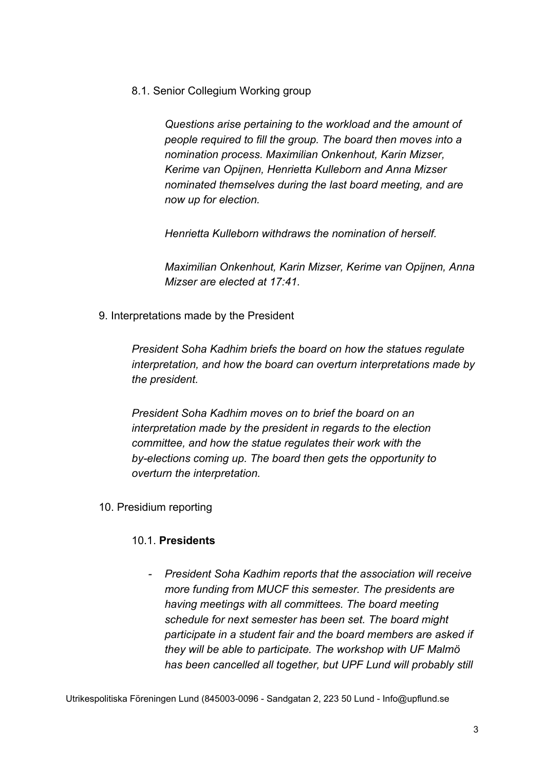8.1. Senior Collegium Working group

*Questions arise pertaining to the workload and the amount of people required to fill the group. The board then moves into a nomination process. Maximilian Onkenhout, Karin Mizser, Kerime van Opijnen, Henrietta Kulleborn and Anna Mizser nominated themselves during the last board meeting, and are now up for election.*

*Henrietta Kulleborn withdraws the nomination of herself.*

*Maximilian Onkenhout, Karin Mizser, Kerime van Opijnen, Anna Mizser are elected at 17:41.*

9. Interpretations made by the President

*President Soha Kadhim briefs the board on how the statues regulate interpretation, and how the board can overturn interpretations made by the president.*

*President Soha Kadhim moves on to brief the board on an interpretation made by the president in regards to the election committee, and how the statue regulates their work with the by-elections coming up. The board then gets the opportunity to overturn the interpretation.*

10. Presidium reporting

#### 10.1. **Presidents**

*- President Soha Kadhim reports that the association will receive more funding from MUCF this semester. The presidents are having meetings with all committees. The board meeting schedule for next semester has been set. The board might participate in a student fair and the board members are asked if they will be able to participate. The workshop with UF Malmö has been cancelled all together, but UPF Lund will probably still*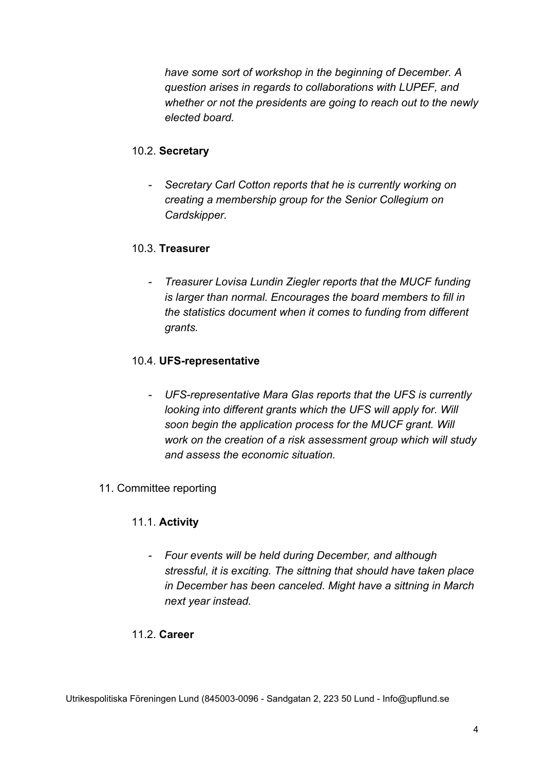*have some sort of workshop in the beginning of December. A question arises in regards to collaborations with LUPEF, and whether or not the presidents are going to reach out to the newly elected board.*

## 10.2. **Secretary**

*- Secretary Carl Cotton reports that he is currently working on creating a membership group for the Senior Collegium on Cardskipper.*

## 10.3. **Treasurer**

*- Treasurer Lovisa Lundin Ziegler reports that the MUCF funding is larger than normal. Encourages the board members to fill in the statistics document when it comes to funding from different grants.*

## 10.4. **UFS-representative**

*- UFS-representative Mara Glas reports that the UFS is currently looking into different grants which the UFS will apply for. Will soon begin the application process for the MUCF grant. Will work on the creation of a risk assessment group which will study and assess the economic situation.*

#### 11. Committee reporting

#### 11.1. **Activity**

*- Four events will be held during December, and although stressful, it is exciting. The sittning that should have taken place in December has been canceled. Might have a sittning in March next year instead.*

#### 11.2. **Career**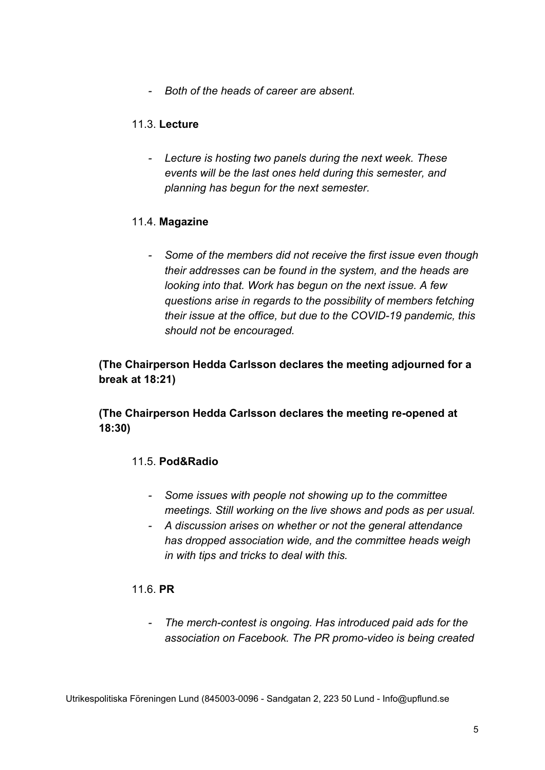*- Both of the heads of career are absent.*

## 11.3. **Lecture**

*- Lecture is hosting two panels during the next week. These events will be the last ones held during this semester, and planning has begun for the next semester.*

#### 11.4. **Magazine**

*- Some of the members did not receive the first issue even though their addresses can be found in the system, and the heads are looking into that. Work has begun on the next issue. A few questions arise in regards to the possibility of members fetching their issue at the office, but due to the COVID-19 pandemic, this should not be encouraged.*

# **(The Chairperson Hedda Carlsson declares the meeting adjourned for a break at 18:21)**

**(The Chairperson Hedda Carlsson declares the meeting re-opened at 18:30)**

#### 11.5. **Pod&Radio**

- *- Some issues with people not showing up to the committee meetings. Still working on the live shows and pods as per usual.*
- *- A discussion arises on whether or not the general attendance has dropped association wide, and the committee heads weigh in with tips and tricks to deal with this.*

#### 11.6. **PR**

*- The merch-contest is ongoing. Has introduced paid ads for the association on Facebook. The PR promo-video is being created*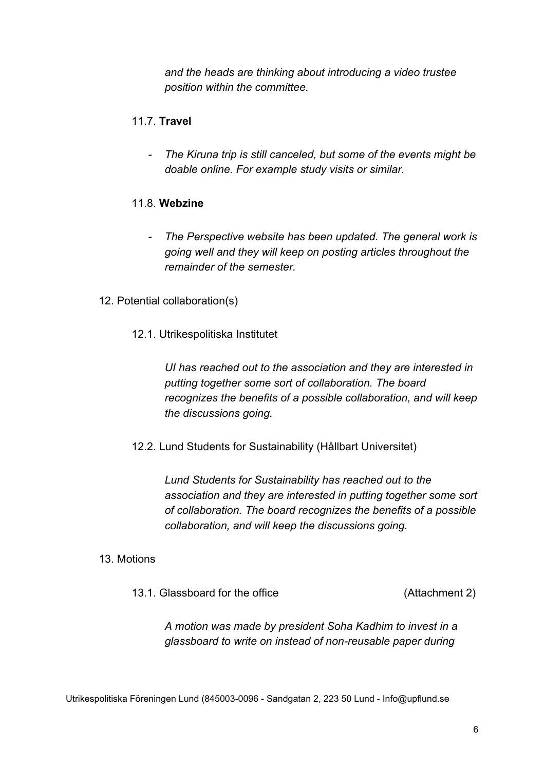*and the heads are thinking about introducing a video trustee position within the committee.*

### 11.7. **Travel**

*- The Kiruna trip is still canceled, but some of the events might be doable online. For example study visits or similar.*

#### 11.8. **Webzine**

- *- The Perspective website has been updated. The general work is going well and they will keep on posting articles throughout the remainder of the semester.*
- 12. Potential collaboration(s)
	- 12.1. Utrikespolitiska Institutet

*UI has reached out to the association and they are interested in putting together some sort of collaboration. The board recognizes the benefits of a possible collaboration, and will keep the discussions going.*

12.2. Lund Students for Sustainability (Hållbart Universitet)

*Lund Students for Sustainability has reached out to the association and they are interested in putting together some sort of collaboration. The board recognizes the benefits of a possible collaboration, and will keep the discussions going.*

#### 13. Motions

13.1. Glassboard for the office (Attachment 2)

*A motion was made by president Soha Kadhim to invest in a glassboard to write on instead of non-reusable paper during*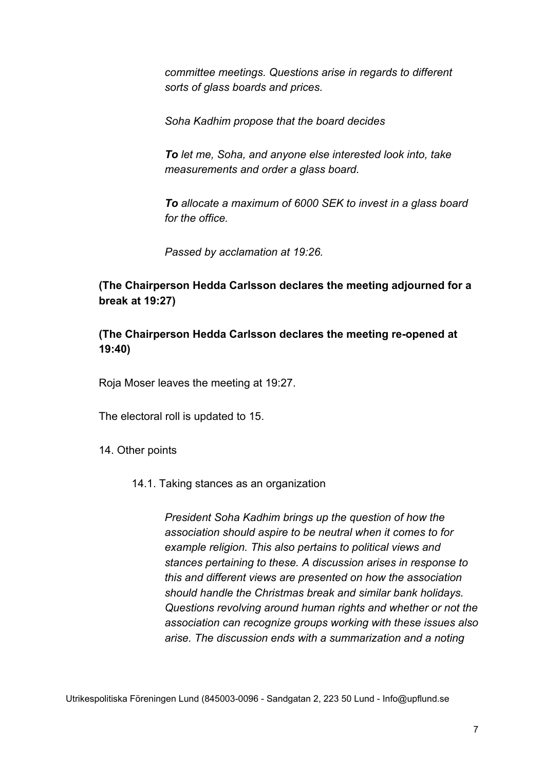*committee meetings. Questions arise in regards to different sorts of glass boards and prices.*

*Soha Kadhim propose that the board decides*

*To let me, Soha, and anyone else interested look into, take measurements and order a glass board.*

*To allocate a maximum of 6000 SEK to invest in a glass board for the office.*

*Passed by acclamation at 19:26.*

# **(The Chairperson Hedda Carlsson declares the meeting adjourned for a break at 19:27)**

**(The Chairperson Hedda Carlsson declares the meeting re-opened at 19:40)**

Roja Moser leaves the meeting at 19:27.

The electoral roll is updated to 15.

14. Other points

14.1. Taking stances as an organization

*President Soha Kadhim brings up the question of how the association should aspire to be neutral when it comes to for example religion. This also pertains to political views and stances pertaining to these. A discussion arises in response to this and different views are presented on how the association should handle the Christmas break and similar bank holidays. Questions revolving around human rights and whether or not the association can recognize groups working with these issues also arise. The discussion ends with a summarization and a noting*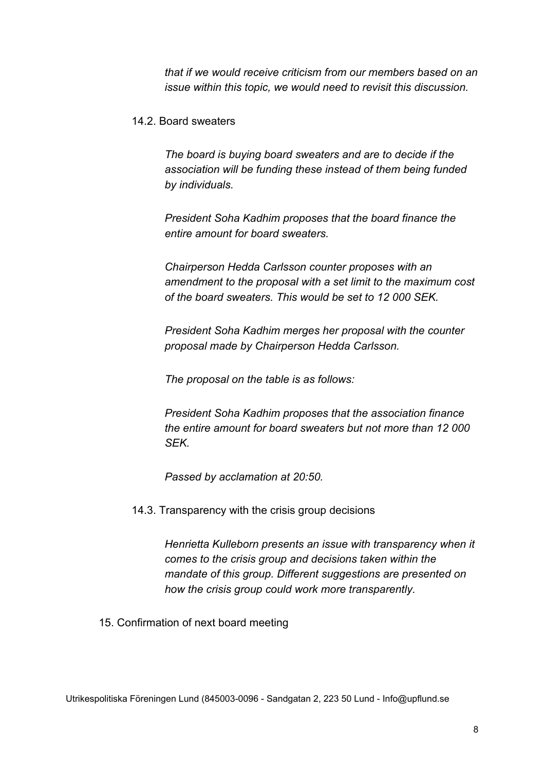*that if we would receive criticism from our members based on an issue within this topic, we would need to revisit this discussion.*

#### 14.2. Board sweaters

*The board is buying board sweaters and are to decide if the association will be funding these instead of them being funded by individuals.*

*President Soha Kadhim proposes that the board finance the entire amount for board sweaters.*

*Chairperson Hedda Carlsson counter proposes with an amendment to the proposal with a set limit to the maximum cost of the board sweaters. This would be set to 12 000 SEK.*

*President Soha Kadhim merges her proposal with the counter proposal made by Chairperson Hedda Carlsson.*

*The proposal on the table is as follows:*

*President Soha Kadhim proposes that the association finance the entire amount for board sweaters but not more than 12 000 SEK.*

*Passed by acclamation at 20:50.*

14.3. Transparency with the crisis group decisions

*Henrietta Kulleborn presents an issue with transparency when it comes to the crisis group and decisions taken within the mandate of this group. Different suggestions are presented on how the crisis group could work more transparently.*

15. Confirmation of next board meeting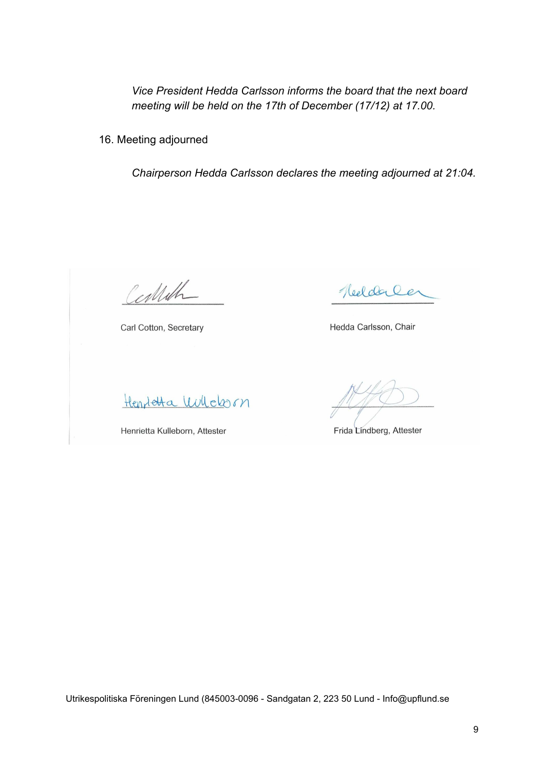*Vice President Hedda Carlsson informs the board that the next board meeting will be held on the 17th of December (17/12) at 17.00.*

16. Meeting adjourned

*Chairperson Hedda Carlsson declares the meeting adjourned at 21:04.*

Certifh

Carl Cotton, Secretary

Henrieta Wilchorn

Henrietta Kulleborn, Attester

Heelderler

Hedda Carlsson, Chair

Frida Lindberg, Attester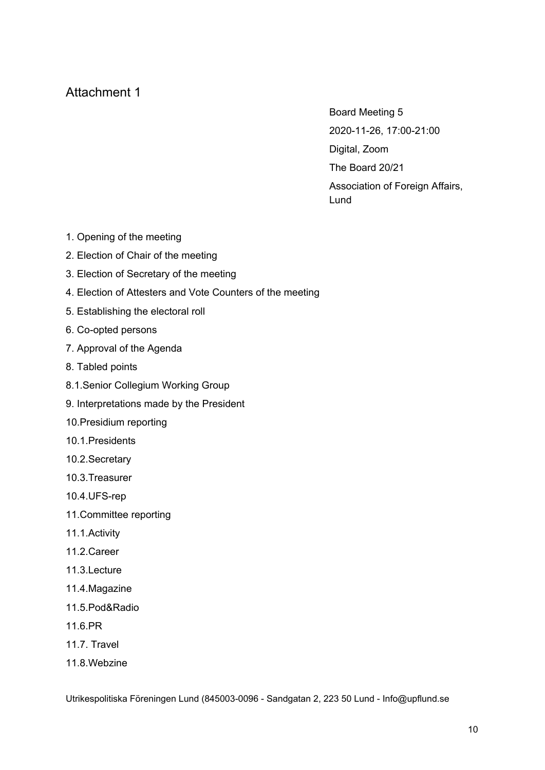# Attachment 1

Board Meeting 5 2020-11-26, 17:00-21:00 Digital, Zoom The Board 20/21 Association of Foreign Affairs, Lund

- 1. Opening of the meeting
- 2. Election of Chair of the meeting
- 3. Election of Secretary of the meeting
- 4. Election of Attesters and Vote Counters of the meeting
- 5. Establishing the electoral roll
- 6. Co-opted persons
- 7. Approval of the Agenda
- 8. Tabled points
- 8.1.Senior Collegium Working Group
- 9. Interpretations made by the President
- 10.Presidium reporting
- 10.1.Presidents
- 10.2.Secretary
- 10.3.Treasurer
- 10.4.UFS-rep
- 11.Committee reporting
- 11.1.Activity
- 11.2.Career
- 11.3.Lecture
- 11.4.Magazine
- 11.5.Pod&Radio
- 11.6.PR
- 11.7. Travel
- 11.8.Webzine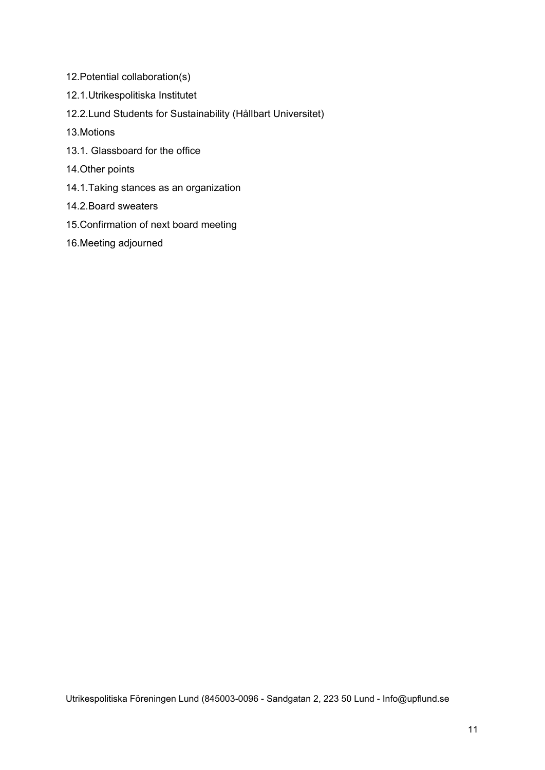- 12.Potential collaboration(s)
- 12.1.Utrikespolitiska Institutet
- 12.2.Lund Students for Sustainability (Hållbart Universitet)
- 13.Motions
- 13.1. Glassboard for the office
- 14.Other points
- 14.1.Taking stances as an organization
- 14.2.Board sweaters
- 15.Confirmation of next board meeting
- 16.Meeting adjourned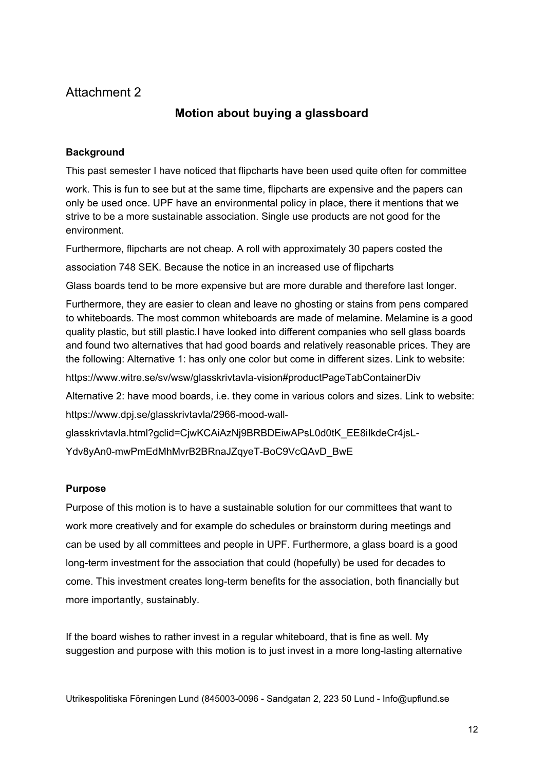# Attachment 2

# **Motion about buying a glassboard**

#### **Background**

This past semester I have noticed that flipcharts have been used quite often for committee

work. This is fun to see but at the same time, flipcharts are expensive and the papers can only be used once. UPF have an environmental policy in place, there it mentions that we strive to be a more sustainable association. Single use products are not good for the environment.

Furthermore, flipcharts are not cheap. A roll with approximately 30 papers costed the

association 748 SEK. Because the notice in an increased use of flipcharts

Glass boards tend to be more expensive but are more durable and therefore last longer.

Furthermore, they are easier to clean and leave no ghosting or stains from pens compared to whiteboards. The most common whiteboards are made of melamine. Melamine is a good quality plastic, but still plastic.I have looked into different companies who sell glass boards and found two alternatives that had good boards and relatively reasonable prices. They are the following: Alternative 1: has only one color but come in different sizes. Link to website:

https://www.witre.se/sv/wsw/glasskrivtavla-vision#productPageTabContainerDiv

Alternative 2: have mood boards, i.e. they come in various colors and sizes. Link to website:

https://www.dpj.se/glasskrivtavla/2966-mood-wall-

glasskrivtavla.html?gclid=CjwKCAiAzNj9BRBDEiwAPsL0d0tK\_EE8iIkdeCr4jsL-

Ydv8yAn0-mwPmEdMhMvrB2BRnaJZqyeT-BoC9VcQAvD\_BwE

#### **Purpose**

Purpose of this motion is to have a sustainable solution for our committees that want to work more creatively and for example do schedules or brainstorm during meetings and can be used by all committees and people in UPF. Furthermore, a glass board is a good long-term investment for the association that could (hopefully) be used for decades to come. This investment creates long-term benefits for the association, both financially but more importantly, sustainably.

If the board wishes to rather invest in a regular whiteboard, that is fine as well. My suggestion and purpose with this motion is to just invest in a more long-lasting alternative